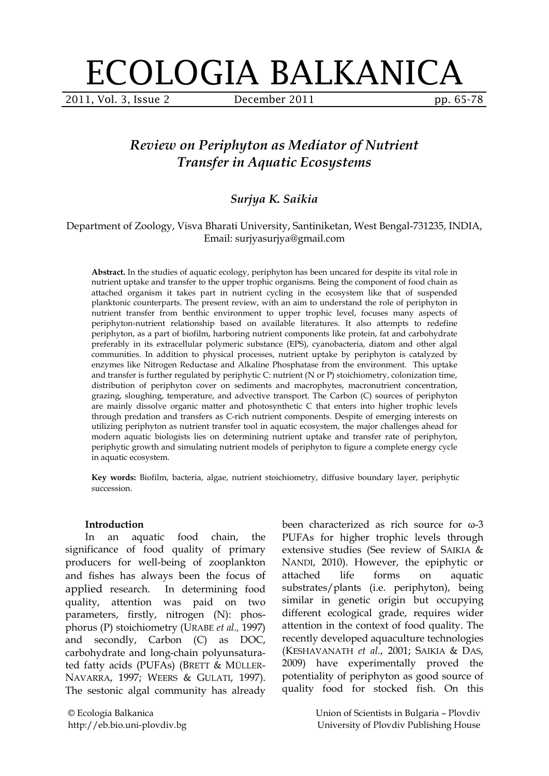# ECOLOGIA BALKANICA

2011, Vol. 3, Issue 2 **December 2011** pp. 65-78

# *Review on Periphyton as Mediator of Nutrient Transfer in Aquatic Ecosystems*

# *Surjya K. Saikia*

#### Department of Zoology, Visva Bharati University, Santiniketan, West Bengal-731235, INDIA, Email: surjyasurjya@gmail.com

**Abstract.** In the studies of aquatic ecology, periphyton has been uncared for despite its vital role in nutrient uptake and transfer to the upper trophic organisms. Being the component of food chain as attached organism it takes part in nutrient cycling in the ecosystem like that of suspended planktonic counterparts. The present review, with an aim to understand the role of periphyton in nutrient transfer from benthic environment to upper trophic level, focuses many aspects of periphyton-nutrient relationship based on available literatures. It also attempts to redefine periphyton, as a part of biofilm, harboring nutrient components like protein, fat and carbohydrate preferably in its extracellular polymeric substance (EPS), cyanobacteria, diatom and other algal communities. In addition to physical processes, nutrient uptake by periphyton is catalyzed by enzymes like Nitrogen Reductase and Alkaline Phosphatase from the environment. This uptake and transfer is further regulated by periphytic C: nutrient (N or P) stoichiometry, colonization time, distribution of periphyton cover on sediments and macrophytes, macronutrient concentration, grazing, sloughing, temperature, and advective transport. The Carbon (C) sources of periphyton are mainly dissolve organic matter and photosynthetic C that enters into higher trophic levels through predation and transfers as C-rich nutrient components. Despite of emerging interests on utilizing periphyton as nutrient transfer tool in aquatic ecosystem, the major challenges ahead for modern aquatic biologists lies on determining nutrient uptake and transfer rate of periphyton, periphytic growth and simulating nutrient models of periphyton to figure a complete energy cycle in aquatic ecosystem.

**Key words:** Biofilm, bacteria, algae, nutrient stoichiometry, diffusive boundary layer, periphytic succession.

#### **Introduction**

In an aquatic food chain, the significance of food quality of primary producers for well-being of zooplankton and fishes has always been the focus of applied research. In determining food quality, attention was paid on two parameters, firstly, nitrogen (N): phosphorus (P) stoichiometry (URABE *et al.,* 1997) and secondly, Carbon (C) as DOC, carbohydrate and long-chain polyunsaturated fatty acids (PUFAs) (BRETT & MÜLLER-NAVARRA, 1997; WEERS & GULATI, 1997). The sestonic algal community has already

been characterized as rich source for ω-3 PUFAs for higher trophic levels through extensive studies (See review of SAIKIA & NANDI, 2010). However, the epiphytic or attached life forms on aquatic substrates/plants (i.e. periphyton), being similar in genetic origin but occupying different ecological grade, requires wider attention in the context of food quality. The recently developed aquaculture technologies (KESHAVANATH *et al.*, 2001; SAIKIA & DAS, 2009) have experimentally proved the potentiality of periphyton as good source of quality food for stocked fish. On this

© Ecologia Balkanica http://eb.bio.uni-plovdiv.bg Union of Scientists in Bulgaria – Plovdiv University of Plovdiv Publishing House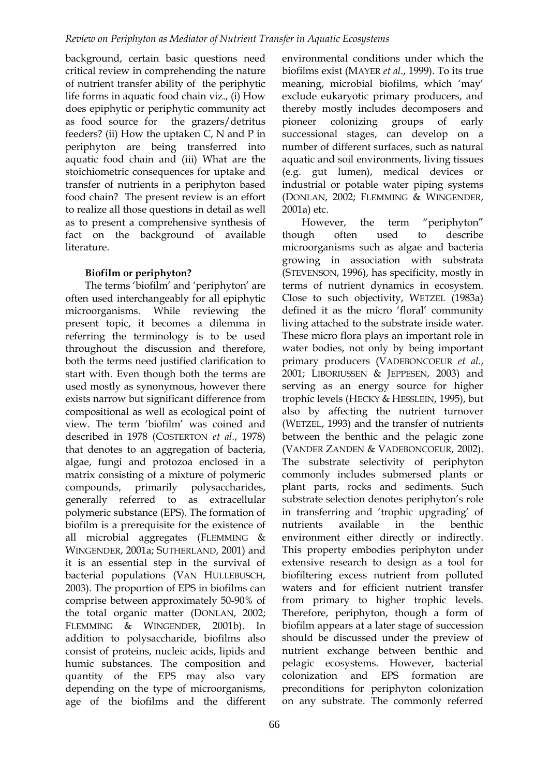background, certain basic questions need critical review in comprehending the nature of nutrient transfer ability of the periphytic life forms in aquatic food chain viz., (i) How does epiphytic or periphytic community act as food source for the grazers/detritus feeders? (ii) How the uptaken C, N and P in periphyton are being transferred into aquatic food chain and (iii) What are the stoichiometric consequences for uptake and transfer of nutrients in a periphyton based food chain? The present review is an effort to realize all those questions in detail as well as to present a comprehensive synthesis of fact on the background of available literature.

# **Biofilm or periphyton?**

The terms 'biofilm' and 'periphyton' are often used interchangeably for all epiphytic microorganisms. While reviewing the present topic, it becomes a dilemma in referring the terminology is to be used throughout the discussion and therefore, both the terms need justified clarification to start with. Even though both the terms are used mostly as synonymous, however there exists narrow but significant difference from compositional as well as ecological point of view. The term 'biofilm' was coined and described in 1978 (COSTERTON *et al.*, 1978) that denotes to an aggregation of bacteria, algae, fungi and protozoa enclosed in a matrix consisting of a mixture of polymeric compounds, primarily polysaccharides, generally referred to as extracellular polymeric substance (EPS). The formation of biofilm is a prerequisite for the existence of all microbial aggregates (FLEMMING & WINGENDER, 2001a; SUTHERLAND, 2001) and it is an essential step in the survival of bacterial populations (VAN HULLEBUSCH, 2003). The proportion of EPS in biofilms can comprise between approximately 50-90% of the total organic matter (DONLAN, 2002; FLEMMING & WINGENDER, 2001b). In addition to polysaccharide, biofilms also consist of proteins, nucleic acids, lipids and humic substances. The composition and quantity of the EPS may also vary depending on the type of microorganisms, age of the biofilms and the different

environmental conditions under which the biofilms exist (MAYER *et al*., 1999). To its true meaning, microbial biofilms, which 'may' exclude eukaryotic primary producers, and thereby mostly includes decomposers and pioneer colonizing groups of early successional stages, can develop on a number of different surfaces, such as natural aquatic and soil environments, living tissues (e.g. gut lumen), medical devices or industrial or potable water piping systems (DONLAN, 2002; FLEMMING & WINGENDER, 2001a) etc.

However, the term "periphyton" though often used to describe microorganisms such as algae and bacteria growing in association with substrata (STEVENSON, 1996), has specificity, mostly in terms of nutrient dynamics in ecosystem. Close to such objectivity, WETZEL (1983a) defined it as the micro 'floral' community living attached to the substrate inside water. These micro flora plays an important role in water bodies, not only by being important primary producers (VADEBONCOEUR *et al*., 2001; LIBORIUSSEN & JEPPESEN, 2003) and serving as an energy source for higher trophic levels (HECKY & HESSLEIN, 1995), but also by affecting the nutrient turnover (WETZEL, 1993) and the transfer of nutrients between the benthic and the pelagic zone (VANDER ZANDEN & VADEBONCOEUR, 2002). The substrate selectivity of periphyton commonly includes submersed plants or plant parts, rocks and sediments. Such substrate selection denotes periphyton's role in transferring and 'trophic upgrading' of nutrients available in the benthic environment either directly or indirectly. This property embodies periphyton under extensive research to design as a tool for biofiltering excess nutrient from polluted waters and for efficient nutrient transfer from primary to higher trophic levels. Therefore, periphyton, though a form of biofilm appears at a later stage of succession should be discussed under the preview of nutrient exchange between benthic and pelagic ecosystems. However, bacterial colonization and EPS formation are preconditions for periphyton colonization on any substrate. The commonly referred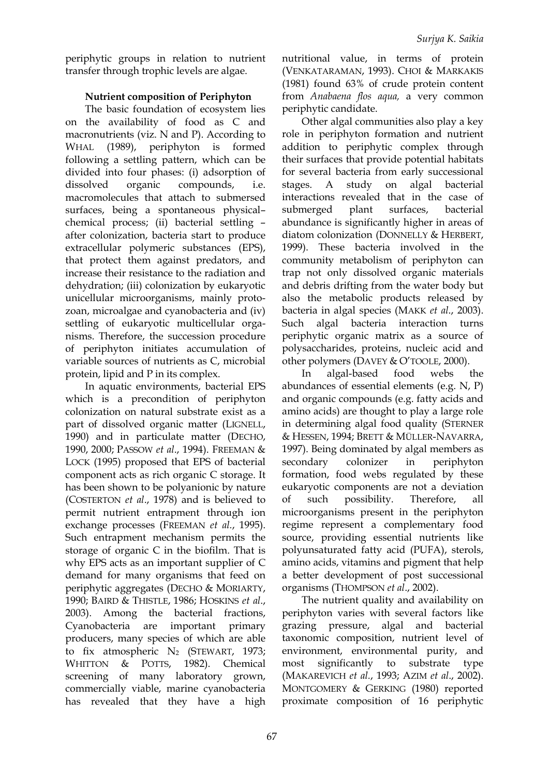periphytic groups in relation to nutrient transfer through trophic levels are algae.

## **Nutrient composition of Periphyton**

The basic foundation of ecosystem lies on the availability of food as C and macronutrients (viz. N and P). According to WHAL (1989), periphyton is formed following a settling pattern, which can be divided into four phases: (i) adsorption of dissolved organic compounds, i.e. macromolecules that attach to submersed surfaces, being a spontaneous physical– chemical process; (ii) bacterial settling – after colonization, bacteria start to produce extracellular polymeric substances (EPS), that protect them against predators, and increase their resistance to the radiation and dehydration; (iii) colonization by eukaryotic unicellular microorganisms, mainly protozoan, microalgae and cyanobacteria and (iv) settling of eukaryotic multicellular organisms. Therefore, the succession procedure of periphyton initiates accumulation of variable sources of nutrients as C, microbial protein, lipid and P in its complex.

In aquatic environments, bacterial EPS which is a precondition of periphyton colonization on natural substrate exist as a part of dissolved organic matter (LIGNELL, 1990) and in particulate matter (DECHO, 1990, 2000; PASSOW *et al*., 1994). FREEMAN & LOCK (1995) proposed that EPS of bacterial component acts as rich organic C storage. It has been shown to be polyanionic by nature (COSTERTON *et al*., 1978) and is believed to permit nutrient entrapment through ion exchange processes (FREEMAN *et al.*, 1995). Such entrapment mechanism permits the storage of organic C in the biofilm. That is why EPS acts as an important supplier of C demand for many organisms that feed on periphytic aggregates (DECHO & MORIARTY, 1990; BAIRD & THISTLE, 1986; HOSKINS *et al*., 2003). Among the bacterial fractions, Cyanobacteria are important primary producers, many species of which are able to fix atmospheric  $N_2$  (STEWART, 1973; WHITTON & POTTS, 1982). Chemical screening of many laboratory grown, commercially viable, marine cyanobacteria has revealed that they have a high nutritional value, in terms of protein (VENKATARAMAN, 1993). CHOI & MARKAKIS (1981) found 63% of crude protein content from *Anabaena flos aqua,* a very common periphytic candidate.

Other algal communities also play a key role in periphyton formation and nutrient addition to periphytic complex through their surfaces that provide potential habitats for several bacteria from early successional stages. A study on algal bacterial interactions revealed that in the case of submerged plant surfaces, bacterial abundance is significantly higher in areas of diatom colonization (DONNELLY & HERBERT, 1999). These bacteria involved in the community metabolism of periphyton can trap not only dissolved organic materials and debris drifting from the water body but also the metabolic products released by bacteria in algal species (MAKK *et al*., 2003). Such algal bacteria interaction turns periphytic organic matrix as a source of polysaccharides, proteins, nucleic acid and other polymers (DAVEY & O'TOOLE, 2000).

In algal-based food webs the abundances of essential elements (e.g. N, P) and organic compounds (e.g. fatty acids and amino acids) are thought to play a large role in determining algal food quality (STERNER & HESSEN, 1994; BRETT & MÜLLER-NAVARRA, 1997). Being dominated by algal members as secondary colonizer in periphyton formation, food webs regulated by these eukaryotic components are not a deviation of such possibility. Therefore, all microorganisms present in the periphyton regime represent a complementary food source, providing essential nutrients like polyunsaturated fatty acid (PUFA), sterols, amino acids, vitamins and pigment that help a better development of post successional organisms (THOMPSON *et al*., 2002).

The nutrient quality and availability on periphyton varies with several factors like grazing pressure, algal and bacterial taxonomic composition, nutrient level of environment, environmental purity, and most significantly to substrate type (MAKAREVICH *et al.*, 1993; AZIM *et al*., 2002). MONTGOMERY & GERKING (1980) reported proximate composition of 16 periphytic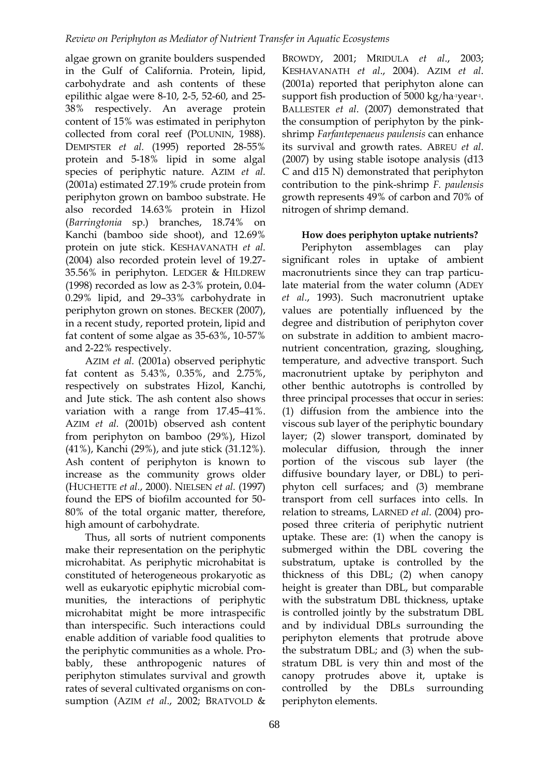algae grown on granite boulders suspended in the Gulf of California. Protein, lipid, carbohydrate and ash contents of these epilithic algae were 8-10, 2-5, 52-60, and 25- 38% respectively. An average protein content of 15% was estimated in periphyton collected from coral reef (POLUNIN, 1988). DEMPSTER *et al.* (1995) reported 28-55% protein and 5-18% lipid in some algal species of periphytic nature. AZIM *et al.* (2001a) estimated 27.19% crude protein from periphyton grown on bamboo substrate. He also recorded 14.63% protein in Hizol (*Barringtonia* sp.) branches, 18.74% on Kanchi (bamboo side shoot), and 12.69% protein on jute stick. KESHAVANATH *et al.* (2004) also recorded protein level of 19.27- 35.56% in periphyton. LEDGER & HILDREW (1998) recorded as low as 2-3% protein, 0.04- 0.29% lipid, and 29–33% carbohydrate in periphyton grown on stones. BECKER (2007), in a recent study, reported protein, lipid and fat content of some algae as 35-63%, 10-57% and 2-22% respectively.

AZIM *et al.* (2001a) observed periphytic fat content as 5.43%, 0.35%, and 2.75%, respectively on substrates Hizol, Kanchi, and Jute stick. The ash content also shows variation with a range from 17.45–41%. AZIM *et al.* (2001b) observed ash content from periphyton on bamboo (29%), Hizol (41%), Kanchi (29%), and jute stick (31.12%). Ash content of periphyton is known to increase as the community grows older (HUCHETTE *et al.*, 2000). NIELSEN *et al.* (1997) found the EPS of biofilm accounted for 50- 80% of the total organic matter, therefore, high amount of carbohydrate.

Thus, all sorts of nutrient components make their representation on the periphytic microhabitat. As periphytic microhabitat is constituted of heterogeneous prokaryotic as well as eukaryotic epiphytic microbial communities, the interactions of periphytic microhabitat might be more intraspecific than interspecific. Such interactions could enable addition of variable food qualities to the periphytic communities as a whole. Probably, these anthropogenic natures of periphyton stimulates survival and growth rates of several cultivated organisms on consumption (AZIM *et al*., 2002; BRATVOLD &

BROWDY, 2001; MRIDULA *et al*., 2003; KESHAVANATH *et al*., 2004). AZIM *et al*. (2001a) reported that periphyton alone can support fish production of 5000 kg/ha-1year-1. BALLESTER *et al*. (2007) demonstrated that the consumption of periphyton by the pinkshrimp *Farfantepenaeus paulensis* can enhance its survival and growth rates. ABREU *et al*. (2007) by using stable isotope analysis (d13 C and d15 N) demonstrated that periphyton contribution to the pink-shrimp *F. paulensis* growth represents 49% of carbon and 70% of nitrogen of shrimp demand.

# **How does periphyton uptake nutrients?**

Periphyton assemblages can play significant roles in uptake of ambient macronutrients since they can trap particulate material from the water column (ADEY *et al*., 1993). Such macronutrient uptake values are potentially influenced by the degree and distribution of periphyton cover on substrate in addition to ambient macronutrient concentration, grazing, sloughing, temperature, and advective transport. Such macronutrient uptake by periphyton and other benthic autotrophs is controlled by three principal processes that occur in series: (1) diffusion from the ambience into the viscous sub layer of the periphytic boundary layer; (2) slower transport, dominated by molecular diffusion, through the inner portion of the viscous sub layer (the diffusive boundary layer, or DBL) to periphyton cell surfaces; and (3) membrane transport from cell surfaces into cells. In relation to streams, LARNED *et al*. (2004) proposed three criteria of periphytic nutrient uptake. These are: (1) when the canopy is submerged within the DBL covering the substratum, uptake is controlled by the thickness of this DBL; (2) when canopy height is greater than DBL, but comparable with the substratum DBL thickness, uptake is controlled jointly by the substratum DBL and by individual DBLs surrounding the periphyton elements that protrude above the substratum DBL; and (3) when the substratum DBL is very thin and most of the canopy protrudes above it, uptake is controlled by the DBLs surrounding periphyton elements.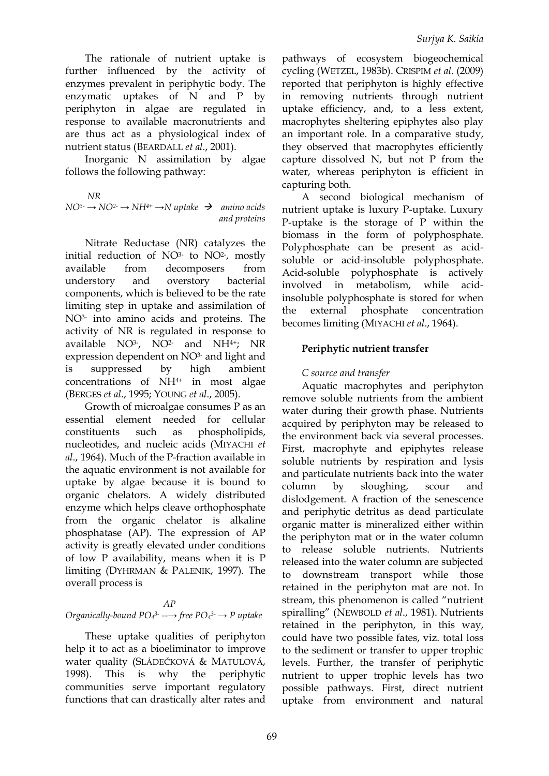The rationale of nutrient uptake is further influenced by the activity of enzymes prevalent in periphytic body. The enzymatic uptakes of N and P by periphyton in algae are regulated in response to available macronutrients and are thus act as a physiological index of nutrient status (BEARDALL *et al*., 2001).

Inorganic N assimilation by algae follows the following pathway:

*NR*  $NO^{3-} \rightarrow NO^{2-} \rightarrow NH^{4+} \rightarrow N$  *uptake*  $\rightarrow$  *amino acids and proteins*

Nitrate Reductase (NR) catalyzes the initial reduction of  $NO<sup>3</sup>$  to  $NO<sup>2</sup>$ , mostly available from decomposers from understory and overstory bacterial components, which is believed to be the rate limiting step in uptake and assimilation of NO3- into amino acids and proteins. The activity of NR is regulated in response to available NO<sup>3-</sup>, NO<sup>2</sup>- and NH<sup>4+</sup>; NR expression dependent on NO3- and light and is suppressed by high ambient concentrations of NH4+ in most algae (BERGES *et al*., 1995; YOUNG *et al*., 2005).

Growth of microalgae consumes P as an essential element needed for cellular constituents such as phospholipids, nucleotides, and nucleic acids (MIYACHI *et al*., 1964). Much of the P-fraction available in the aquatic environment is not available for uptake by algae because it is bound to organic chelators. A widely distributed enzyme which helps cleave orthophosphate from the organic chelator is alkaline phosphatase (AP). The expression of AP activity is greatly elevated under conditions of low P availability, means when it is P limiting (DYHRMAN & PALENIK, 1997). The overall process is

#### *AP*

# *Organically-bound PO4 3- --→ free PO<sup>4</sup> 3- → P uptake*

These uptake qualities of periphyton help it to act as a bioeliminator to improve water quality (SLÁDEČKOVÁ & MATULOVÁ, 1998). This is why the periphytic communities serve important regulatory functions that can drastically alter rates and pathways of ecosystem biogeochemical cycling (WETZEL, 1983b). CRISPIM *et al*. (2009) reported that periphyton is highly effective in removing nutrients through nutrient uptake efficiency, and, to a less extent, macrophytes sheltering epiphytes also play an important role. In a comparative study, they observed that macrophytes efficiently capture dissolved N, but not P from the water, whereas periphyton is efficient in capturing both.

A second biological mechanism of nutrient uptake is luxury P-uptake. Luxury P-uptake is the storage of P within the biomass in the form of polyphosphate. Polyphosphate can be present as acidsoluble or acid-insoluble polyphosphate. Acid-soluble polyphosphate is actively involved in metabolism, while acidinsoluble polyphosphate is stored for when the external phosphate concentration becomes limiting (MIYACHI *et al*., 1964).

# **Periphytic nutrient transfer**

# *C source and transfer*

Aquatic macrophytes and periphyton remove soluble nutrients from the ambient water during their growth phase. Nutrients acquired by periphyton may be released to the environment back via several processes. First, macrophyte and epiphytes release soluble nutrients by respiration and lysis and particulate nutrients back into the water column by sloughing, scour and dislodgement. A fraction of the senescence and periphytic detritus as dead particulate organic matter is mineralized either within the periphyton mat or in the water column to release soluble nutrients. Nutrients released into the water column are subjected to downstream transport while those retained in the periphyton mat are not. In stream, this phenomenon is called "nutrient spiralling" (NEWBOLD *et al*., 1981). Nutrients retained in the periphyton, in this way, could have two possible fates, viz. total loss to the sediment or transfer to upper trophic levels. Further, the transfer of periphytic nutrient to upper trophic levels has two possible pathways. First, direct nutrient uptake from environment and natural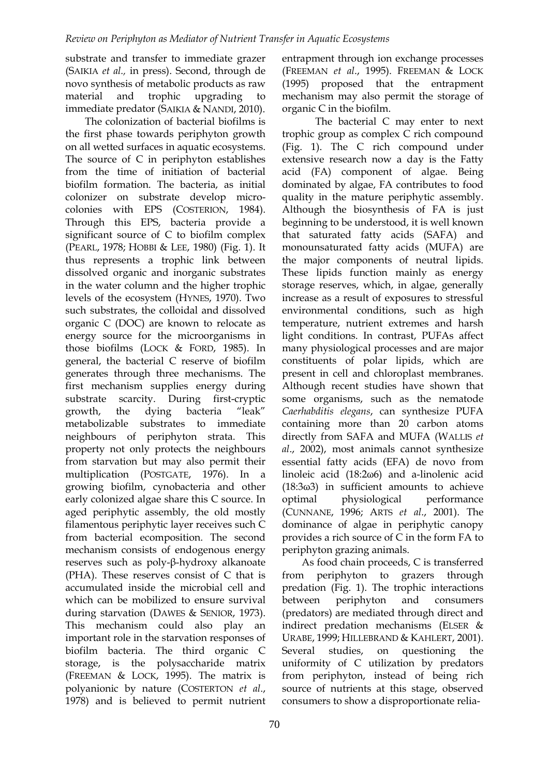substrate and transfer to immediate grazer (SAIKIA *et al.,* in press). Second, through de novo synthesis of metabolic products as raw material and trophic upgrading to immediate predator (SAIKIA & NANDI, 2010).

The colonization of bacterial biofilms is the first phase towards periphyton growth on all wetted surfaces in aquatic ecosystems. The source of C in periphyton establishes from the time of initiation of bacterial biofilm formation. The bacteria, as initial colonizer on substrate develop microcolonies with EPS (COSTERION, 1984). Through this EPS, bacteria provide a significant source of C to biofilm complex (PEARL, 1978; HOBBI & LEE, 1980) (Fig. 1). It thus represents a trophic link between dissolved organic and inorganic substrates in the water column and the higher trophic levels of the ecosystem (HYNES, 1970). Two such substrates, the colloidal and dissolved organic C (DOC) are known to relocate as energy source for the microorganisms in those biofilms (LOCK & FORD, 1985). In general, the bacterial C reserve of biofilm generates through three mechanisms. The first mechanism supplies energy during substrate scarcity. During first-cryptic growth, the dying bacteria "leak" metabolizable substrates to immediate neighbours of periphyton strata. This property not only protects the neighbours from starvation but may also permit their multiplication (POSTGATE, 1976). In a growing biofilm, cynobacteria and other early colonized algae share this C source. In aged periphytic assembly, the old mostly filamentous periphytic layer receives such C from bacterial ecomposition. The second mechanism consists of endogenous energy reserves such as poly-β-hydroxy alkanoate (PHA). These reserves consist of C that is accumulated inside the microbial cell and which can be mobilized to ensure survival during starvation (DAWES & SENIOR, 1973). This mechanism could also play an important role in the starvation responses of biofilm bacteria. The third organic C storage, is the polysaccharide matrix (FREEMAN & LOCK, 1995). The matrix is polyanionic by nature (COSTERTON *et al*., 1978) and is believed to permit nutrient

entrapment through ion exchange processes (FREEMAN *et al*., 1995). FREEMAN & LOCK (1995) proposed that the entrapment mechanism may also permit the storage of organic C in the biofilm.

The bacterial C may enter to next trophic group as complex C rich compound (Fig. 1). The C rich compound under extensive research now a day is the Fatty acid (FA) component of algae. Being dominated by algae, FA contributes to food quality in the mature periphytic assembly. Although the biosynthesis of FA is just beginning to be understood, it is well known that saturated fatty acids (SAFA) and monounsaturated fatty acids (MUFA) are the major components of neutral lipids. These lipids function mainly as energy storage reserves, which, in algae, generally increase as a result of exposures to stressful environmental conditions, such as high temperature, nutrient extremes and harsh light conditions. In contrast, PUFAs affect many physiological processes and are major constituents of polar lipids, which are present in cell and chloroplast membranes. Although recent studies have shown that some organisms, such as the nematode *Caerhabditis elegans*, can synthesize PUFA containing more than 20 carbon atoms directly from SAFA and MUFA (WALLIS *et al*., 2002), most animals cannot synthesize essential fatty acids (EFA) de novo from linoleic acid (18:2ω6) and a-linolenic acid (18:3ω3) in sufficient amounts to achieve optimal physiological performance (CUNNANE, 1996; ARTS *et al*., 2001). The dominance of algae in periphytic canopy provides a rich source of C in the form FA to periphyton grazing animals.

As food chain proceeds, C is transferred from periphyton to grazers through predation (Fig. 1). The trophic interactions between periphyton and consumers (predators) are mediated through direct and indirect predation mechanisms (ELSER & URABE, 1999; HILLEBRAND & KAHLERT, 2001). Several studies, on questioning the uniformity of C utilization by predators from periphyton, instead of being rich source of nutrients at this stage, observed consumers to show a disproportionate relia-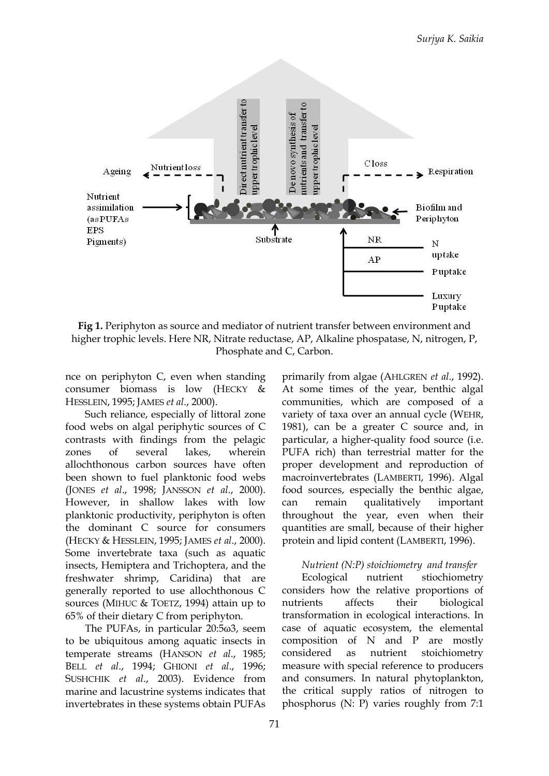

**Fig 1.** Periphyton as source and mediator of nutrient transfer between environment and higher trophic levels. Here NR, Nitrate reductase, AP, Alkaline phospatase, N, nitrogen, P, Phosphate and C, Carbon.

nce on periphyton C, even when standing consumer biomass is low (HECKY & HESSLEIN, 1995; JAMES *et al*., 2000).

Such reliance, especially of littoral zone food webs on algal periphytic sources of C contrasts with findings from the pelagic zones of several lakes, wherein allochthonous carbon sources have often been shown to fuel planktonic food webs (JONES *et al*., 1998; JANSSON *et al*., 2000). However, in shallow lakes with low planktonic productivity, periphyton is often the dominant C source for consumers (HECKY & HESSLEIN, 1995; JAMES *et al*., 2000). Some invertebrate taxa (such as aquatic insects, Hemiptera and Trichoptera, and the freshwater shrimp, Caridina) that are generally reported to use allochthonous C sources (MIHUC & TOETZ, 1994) attain up to 65% of their dietary C from periphyton.

The PUFAs, in particular 20:5ω3, seem to be ubiquitous among aquatic insects in temperate streams (HANSON *et al*., 1985; BELL *et al*., 1994; GHIONI *et al*., 1996; SUSHCHIK *et al*., 2003). Evidence from marine and lacustrine systems indicates that invertebrates in these systems obtain PUFAs

primarily from algae (AHLGREN *et al*., 1992). At some times of the year, benthic algal communities, which are composed of a variety of taxa over an annual cycle (WEHR, 1981), can be a greater C source and, in particular, a higher-quality food source (i.e. PUFA rich) than terrestrial matter for the proper development and reproduction of macroinvertebrates (LAMBERTI, 1996). Algal food sources, especially the benthic algae, can remain qualitatively important throughout the year, even when their quantities are small, because of their higher protein and lipid content (LAMBERTI, 1996).

#### *Nutrient (N:P) stoichiometry and transfer*

Ecological nutrient stiochiometry considers how the relative proportions of nutrients affects their biological transformation in ecological interactions. In case of aquatic ecosystem, the elemental composition of N and P are mostly considered as nutrient stoichiometry measure with special reference to producers and consumers. In natural phytoplankton, the critical supply ratios of nitrogen to phosphorus (N: P) varies roughly from 7:1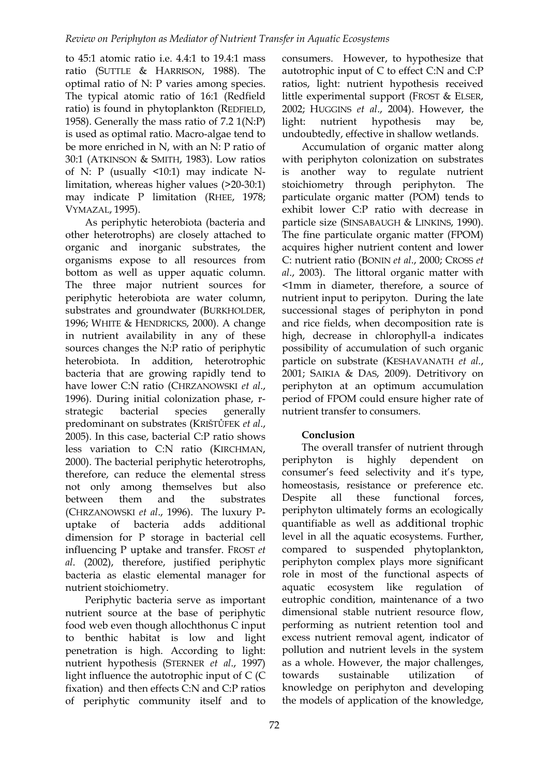to 45:1 atomic ratio i.e. 4.4:1 to 19.4:1 mass ratio (SUTTLE & HARRISON, 1988). The optimal ratio of N: P varies among species. The typical atomic ratio of 16:1 (Redfield ratio) is found in phytoplankton (REDFIELD, 1958). Generally the mass ratio of 7.2 1(N:P) is used as optimal ratio. Macro-algae tend to be more enriched in N, with an N: P ratio of 30:1 (ATKINSON & SMITH, 1983). Low ratios of N: P (usually <10:1) may indicate Nlimitation, whereas higher values (>20-30:1) may indicate P limitation (RHEE, 1978; VYMAZAL, 1995).

As periphytic heterobiota (bacteria and other heterotrophs) are closely attached to organic and inorganic substrates, the organisms expose to all resources from bottom as well as upper aquatic column. The three major nutrient sources for periphytic heterobiota are water column, substrates and groundwater (BURKHOLDER, 1996; WHITE & HENDRICKS, 2000). A change in nutrient availability in any of these sources changes the N:P ratio of periphytic heterobiota. In addition, heterotrophic bacteria that are growing rapidly tend to have lower C:N ratio (CHRZANOWSKI *et al*., 1996). During initial colonization phase, rstrategic bacterial species generally predominant on substrates (KRIŠTŮFEK *et al*., 2005). In this case, bacterial C:P ratio shows less variation to C:N ratio (KIRCHMAN, 2000). The bacterial periphytic heterotrophs, therefore, can reduce the elemental stress not only among themselves but also between them and the substrates (CHRZANOWSKI *et al*., 1996). The luxury Puptake of bacteria adds additional dimension for P storage in bacterial cell influencing P uptake and transfer. FROST *et al*. (2002), therefore, justified periphytic bacteria as elastic elemental manager for nutrient stoichiometry.

Periphytic bacteria serve as important nutrient source at the base of periphytic food web even though allochthonus C input to benthic habitat is low and light penetration is high. According to light: nutrient hypothesis (STERNER *et al*., 1997) light influence the autotrophic input of C (C fixation) and then effects C:N and C:P ratios of periphytic community itself and to

eutrophic condition, maintenance of a two dimensional stable nutrient resource flow, performing as nutrient retention tool and excess nutrient removal agent, indicator of pollution and nutrient levels in the system as a whole. However, the major challenges, towards sustainable utilization knowledge on periphyton and developing

the models of application of the knowledge,

consumers. However, to hypothesize that autotrophic input of C to effect C:N and C:P ratios, light: nutrient hypothesis received little experimental support (FROST & ELSER, 2002; HUGGINS *et al*., 2004). However, the light: nutrient hypothesis may be, undoubtedly, effective in shallow wetlands.

Accumulation of organic matter along with periphyton colonization on substrates is another way to regulate nutrient stoichiometry through periphyton. The particulate organic matter (POM) tends to exhibit lower C:P ratio with decrease in particle size (SINSABAUGH & LINKINS, 1990). The fine particulate organic matter (FPOM) acquires higher nutrient content and lower C: nutrient ratio (BONIN *et al*., 2000; CROSS *et al*., 2003). The littoral organic matter with <1mm in diameter, therefore, a source of nutrient input to peripyton. During the late successional stages of periphyton in pond and rice fields, when decomposition rate is high, decrease in chlorophyll-a indicates possibility of accumulation of such organic particle on substrate (KESHAVANATH *et al.*, 2001; SAIKIA & DAS, 2009). Detritivory on periphyton at an optimum accumulation period of FPOM could ensure higher rate of nutrient transfer to consumers.

The overall transfer of nutrient through periphyton is highly dependent on consumer's feed selectivity and it's type, homeostasis, resistance or preference etc. Despite all these functional forces, periphyton ultimately forms an ecologically quantifiable as well as additional trophic level in all the aquatic ecosystems. Further, compared to suspended phytoplankton, periphyton complex plays more significant role in most of the functional aspects of aquatic ecosystem like regulation of

# **Conclusion**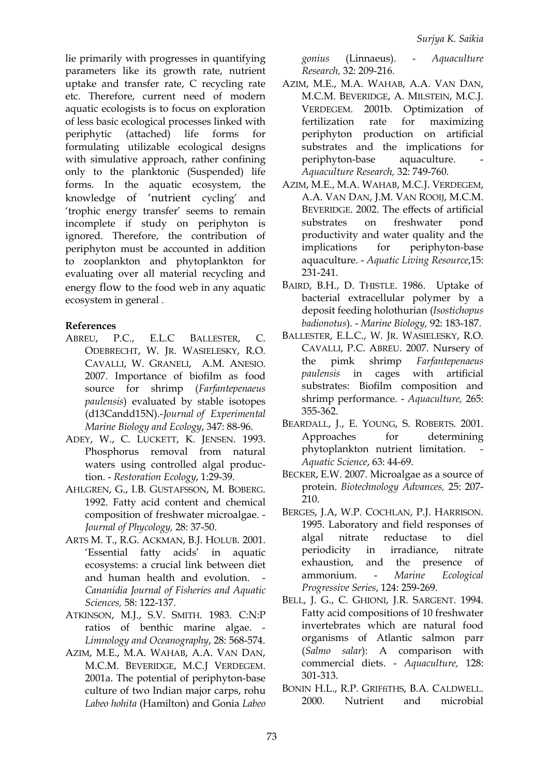lie primarily with progresses in quantifying parameters like its growth rate, nutrient uptake and transfer rate, C recycling rate etc. Therefore, current need of modern aquatic ecologists is to focus on exploration of less basic ecological processes linked with periphytic (attached) life forms for formulating utilizable ecological designs with simulative approach, rather confining only to the planktonic (Suspended) life forms. In the aquatic ecosystem, the knowledge of 'nutrient cycling' and 'trophic energy transfer' seems to remain incomplete if study on periphyton is ignored. Therefore, the contribution of periphyton must be accounted in addition to zooplankton and phytoplankton for evaluating over all material recycling and energy flow to the food web in any aquatic ecosystem in general .

### **References**

- ABREU, P.C., E.L.C BALLESTER, C. ODEBRECHT, W. JR. WASIELESKY, R.O. CAVALLI, W. GRANELI, A.M. ANESIO. 2007. Importance of biofilm as food source for shrimp (*Farfantepenaeus paulensis*) evaluated by stable isotopes (d13Candd15N).-*Journal of Experimental Marine Biology and Ecology*, 347: 88-96.
- ADEY, W., C. LUCKETT, K. JENSEN. 1993. Phosphorus removal from natural waters using controlled algal production. - *Restoration Ecology*, 1:29-39.
- AHLGREN, G., I.B. GUSTAFSSON, M. BOBERG. 1992. Fatty acid content and chemical composition of freshwater microalgae. - *Journal of Phycology,* 28: 37-50.
- ARTS M. T., R.G. ACKMAN, B.J. HOLUB. 2001. 'Essential fatty acids' in aquatic ecosystems: a crucial link between diet and human health and evolution. *Cananidia Journal of Fisheries and Aquatic Sciences,* 58: 122-137.
- ATKINSON, M.J., S.V. SMITH. 1983. C:N:P ratios of benthic marine algae. - *Limnology and Oceanography*, 28: 568-574.
- AZIM, M.E., M.A. WAHAB, A.A. VAN DAN, M.C.M. BEVERIDGE, M.C.J VERDEGEM. 2001a. The potential of periphyton-base culture of two Indian major carps, rohu *Labeo hohita* (Hamilton) and Gonia *Labeo*

*gonius* (Linnaeus). - *Aquaculture Research,* 32: 209-216.

- AZIM, M.E., M.A. WAHAB, A.A. VAN DAN, M.C.M. BEVERIDGE, A. MILSTEIN, M.C.J. VERDEGEM. 2001b. Optimization of fertilization rate for maximizing periphyton production on artificial substrates and the implications for periphyton-base aquaculture. *Aquaculture Research,* 32: 749-760.
- AZIM, M.E., M.A. WAHAB, M.C.J. VERDEGEM, A.A. VAN DAN, J.M. VAN ROOIJ, M.C.M. BEVERIDGE. 2002. The effects of artificial substrates on freshwater pond productivity and water quality and the implications for periphyton-base aquaculture. - *Aquatic Living Resource*,15: 231-241.
- BAIRD, B.H., D. THISTLE. 1986. Uptake of bacterial extracellular polymer by a deposit feeding holothurian (*Isostichopus badionotus*). - *Marine Biology,* 92: 183-187.
- BALLESTER, E.L.C., W. JR. WASIELESKY, R.O. CAVALLI, P.C. ABREU. 2007. Nursery of the pimk shrimp *Farfantepenaeus paulensis* in cages with artificial substrates: Biofilm composition and shrimp performance. - *Aquaculture,* 265: 355-362.
- BEARDALL, J., E. YOUNG, S. ROBERTS. 2001. Approaches for determining phytoplankton nutrient limitation. - *Aquatic Science*, 63: 44-69.
- BECKER, E.W. 2007. Microalgae as a source of protein. *Biotechnology Advances,* 25: 207- 210.
- BERGES, J.A, W.P. COCHLAN, P.J. HARRISON. 1995. Laboratory and field responses of algal nitrate reductase to diel periodicity in irradiance, nitrate exhaustion, and the presence of ammonium. - *Marine Ecological Progressive Series*, 124: 259-269.
- BELL, J. G., C. GHIONI, J.R. SARGENT. 1994. Fatty acid compositions of 10 freshwater invertebrates which are natural food organisms of Atlantic salmon parr (*Salmo salar*): A comparison with commercial diets. - *Aquaculture,* 128: 301-313.
- BONIN H.L., R.P. GRIFfiTHS, B.A. CALDWELL. 2000. Nutrient and microbial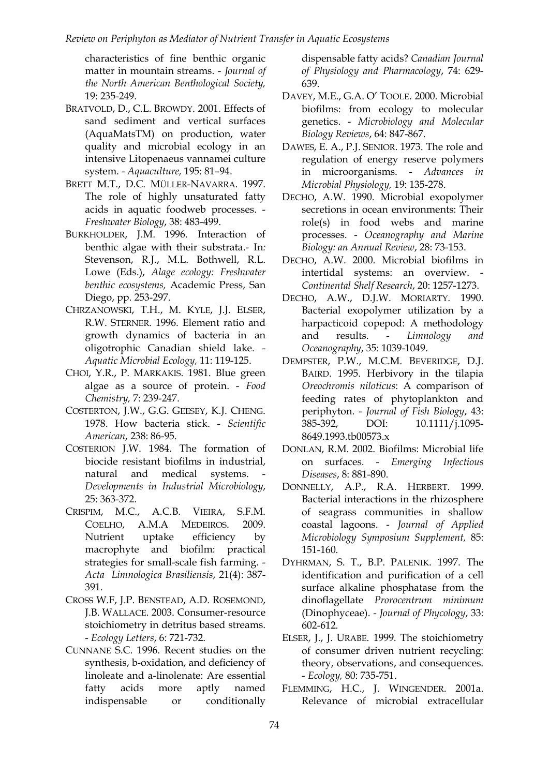characteristics of fine benthic organic matter in mountain streams. - *Journal of the North American Benthological Society,* 19: 235-249.

- BRATVOLD, D., C.L. BROWDY. 2001. Effects of sand sediment and vertical surfaces (AquaMatsTM) on production, water quality and microbial ecology in an intensive Litopenaeus vannamei culture system. - *Aquaculture,* 195: 81–94.
- BRETT M.T., D.C. MÜLLER-NAVARRA. 1997. The role of highly unsaturated fatty acids in aquatic foodweb processes. - *Freshwater Biology*, 38: 483-499.
- BURKHOLDER, J.M. 1996. Interaction of benthic algae with their substrata.- In*:* Stevenson, R.J., M.L. Bothwell, R.L. Lowe (Eds.), *Alage ecology: Freshwater benthic ecosystems,* Academic Press, San Diego, pp. 253-297.
- CHRZANOWSKI, T.H., M. KYLE, J.J. ELSER, R.W. STERNER. 1996. Element ratio and growth dynamics of bacteria in an oligotrophic Canadian shield lake. - *Aquatic Microbial Ecology,* 11: 119-125.
- CHOI, Y.R., P. MARKAKIS. 1981. Blue green algae as a source of protein. - *Food Chemistry,* 7: 239-247.
- COSTERTON, J.W., G.G. GEESEY, K.J. CHENG. 1978. How bacteria stick. - *Scientific American*, 238: 86-95.
- COSTERION J.W. 1984. The formation of biocide resistant biofilms in industrial, natural and medical systems. *Developments in Industrial Microbiology*, 25: 363-372.
- CRISPIM, M.C., A.C.B. VIEIRA, S.F.M. COELHO, A.M.A MEDEIROS. 2009. Nutrient uptake efficiency by macrophyte and biofilm: practical strategies for small-scale fish farming. - *Acta Limnologica Brasiliensis*, 21(4): 387- 391.
- CROSS W.F, J.P. BENSTEAD, A.D. ROSEMOND, J.B. WALLACE. 2003. Consumer-resource stoichiometry in detritus based streams. - *Ecology Letters*, 6: 721-732.
- CUNNANE S.C. 1996. Recent studies on the synthesis, b-oxidation, and deficiency of linoleate and a-linolenate: Are essential fatty acids more aptly named indispensable or conditionally

dispensable fatty acids? *Canadian Journal of Physiology and Pharmacology*, 74: 629- 639.

- DAVEY, M.E., G.A. O' TOOLE. 2000. Microbial biofilms: from ecology to molecular genetics. - *Microbiology and Molecular Biology Reviews*, 64: 847-867.
- DAWES, E. A., P.J. SENIOR. 1973. The role and regulation of energy reserve polymers in microorganisms. - *Advances in Microbial Physiology,* 19: 135-278.
- DECHO, A.W. 1990. Microbial exopolymer secretions in ocean environments: Their role(s) in food webs and marine processes. - *Oceanography and Marine Biology: an Annual Review*, 28: 73-153.
- DECHO, A.W. 2000. Microbial biofilms in intertidal systems: an overview. - *Continental Shelf Research*, 20: 1257-1273.
- DECHO, A.W., D.J.W. MORIARTY. 1990. Bacterial exopolymer utilization by a harpacticoid copepod: A methodology and results. - *Limnology and Oceanography*, 35: 1039-1049.
- DEMPSTER, P.W., M.C.M. BEVERIDGE, D.J. BAIRD. 1995. Herbivory in the tilapia *Oreochromis niloticus*: A comparison of feeding rates of phytoplankton and periphyton. - *Journal of Fish Biology*, 43: 385-392, DOI: 10.1111/j.1095- 8649.1993.tb00573.x
- DONLAN, R.M. 2002. Biofilms: Microbial life on surfaces. - *Emerging Infectious Diseases*, 8: 881-890.
- DONNELLY, A.P., R.A. HERBERT. 1999. Bacterial interactions in the rhizosphere of seagrass communities in shallow coastal lagoons. - *Journal of Applied Microbiology Symposium Supplement,* 85: 151-160.
- DYHRMAN, S. T., B.P. PALENIK. 1997. The identification and purification of a cell surface alkaline phosphatase from the dinoflagellate *Prorocentrum minimum* (Dinophyceae). - *Journal of Phycology*, 33: 602-612.
- ELSER, J., J. URABE. 1999. The stoichiometry of consumer driven nutrient recycling: theory, observations, and consequences. - *Ecology,* 80: 735-751.
- FLEMMING, H.C., J. WINGENDER. 2001a. Relevance of microbial extracellular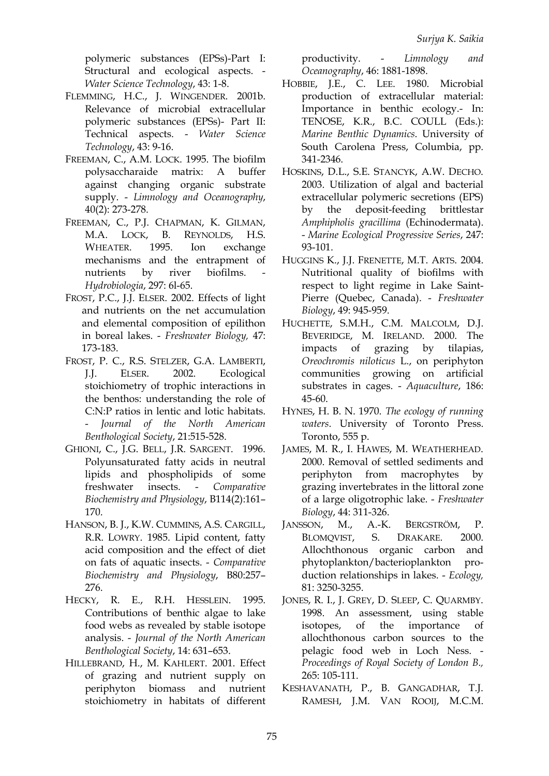polymeric substances (EPSs)-Part I: Structural and ecological aspects. - *Water Science Technology*, 43: 1-8.

- FLEMMING, H.C., J. WINGENDER. 2001b. Relevance of microbial extracellular polymeric substances (EPSs)- Part II: Technical aspects. - *Water Science Technology*, 43: 9-16.
- FREEMAN, C., A.M. LOCK. 1995. The biofilm polysaccharaide matrix: A buffer against changing organic substrate supply. - *Limnology and Oceanography*, 40(2): 273-278.
- FREEMAN, C., P.J. [CHAPMAN,](http://www.springerlink.com/content/?Author=P.+J.+Chapman) K. [GILMAN,](http://www.springerlink.com/content/?Author=K.+Gilman) M.A. [LOCK,](http://www.springerlink.com/content/?Author=M.+A.+Lock) B. [REYNOLDS,](http://www.springerlink.com/content/?Author=B.+Reynolds) H.S. [WHEATER.](http://www.springerlink.com/content/?Author=H.+S.+Wheater) 1995. Ion exchange mechanisms and the entrapment of nutrients by river biofilms. *Hydrobiologia*, 297: 6l-65.
- FROST, P.C., J.J. ELSER. 2002. Effects of light and nutrients on the net accumulation and elemental composition of epilithon in boreal lakes. - *Freshwater Biology,* 47: 173-183.
- FROST, P. C., R.S. STELZER, G.A. LAMBERTI, J.J. ELSER. 2002. Ecological stoichiometry of trophic interactions in the benthos: understanding the role of C:N:P ratios in lentic and lotic habitats. - *Journal of the North American Benthological Society*, 21:515-528.
- GHIONI, C., J.G. BELL, J.R. SARGENT. 1996. Polyunsaturated fatty acids in neutral lipids and phospholipids of some freshwater insects. - *Comparative Biochemistry and Physiology*, B114(2):161– 170.
- HANSON, B. J., K.W. CUMMINS, A.S. CARGILL, R.R. LOWRY. 1985. Lipid content, fatty acid composition and the effect of diet on fats of aquatic insects. - *Comparative Biochemistry and Physiology*, B80:257– 276.
- HECKY, R. E., R.H. HESSLEIN. 1995. Contributions of benthic algae to lake food webs as revealed by stable isotope analysis. - *Journal of the North American Benthological Society*, 14: 631–653.
- HILLEBRAND, H., M. KAHLERT. 2001. Effect of grazing and nutrient supply on periphyton biomass and nutrient stoichiometry in habitats of different

productivity. - *Limnology and Oceanography*, 46: 1881-1898.

- HOBBIE, J.E., C. LEE. 1980. Microbial production of extracellular material: Importance in benthic ecology.- In: TENOSE, K.R., B.C. COULL (Eds.): *Marine Benthic Dynamics*. University of South Carolena Press, Columbia, pp. 341-2346.
- HOSKINS, D.L., S.E. STANCYK, A.W. DECHO. 2003. Utilization of algal and bacterial extracellular polymeric secretions (EPS) by the deposit-feeding brittlestar *Amphipholis gracillima* (Echinodermata). - *Marine Ecological Progressive Series*, 247: 93-101.
- HUGGINS K., J.J. FRENETTE, M.T. ARTS. 2004. Nutritional quality of biofilms with respect to light regime in Lake Saint-Pierre (Quebec, Canada). - *Freshwater Biology*, 49: 945-959.
- HUCHETTE, S.M.H., C.M. MALCOLM, D.J. BEVERIDGE, M. IRELAND. 2000. The impacts of grazing by tilapias, *Oreochromis niloticus* L., on periphyton communities growing on artificial substrates in cages. - *Aquaculture*, 186: 45-60.
- HYNES, H. B. N. 1970. *The ecology of running waters*. University of Toronto Press. Toronto, 555 p.
- JAMES, M. R., I. HAWES, M. WEATHERHEAD. 2000. Removal of settled sediments and periphyton from macrophytes by grazing invertebrates in the littoral zone of a large oligotrophic lake. - *Freshwater Biology*, 44: 311-326.
- JANSSON, M., A.-K. BERGSTRÖM, P. BLOMQVIST, S. DRAKARE. 2000. Allochthonous organic carbon and phytoplankton/bacterioplankton production relationships in lakes. - *Ecology,* 81: 3250-3255.
- JONES, R. I., J. GREY, D. SLEEP, C. QUARMBY. 1998. An assessment, using stable isotopes, of the importance of allochthonous carbon sources to the pelagic food web in Loch Ness. - *Proceedings of Royal Society of London B.,* 265: 105-111.
- KESHAVANATH, P., B. GANGADHAR, T.J. RAMESH, J.M. VAN ROOIJ, M.C.M.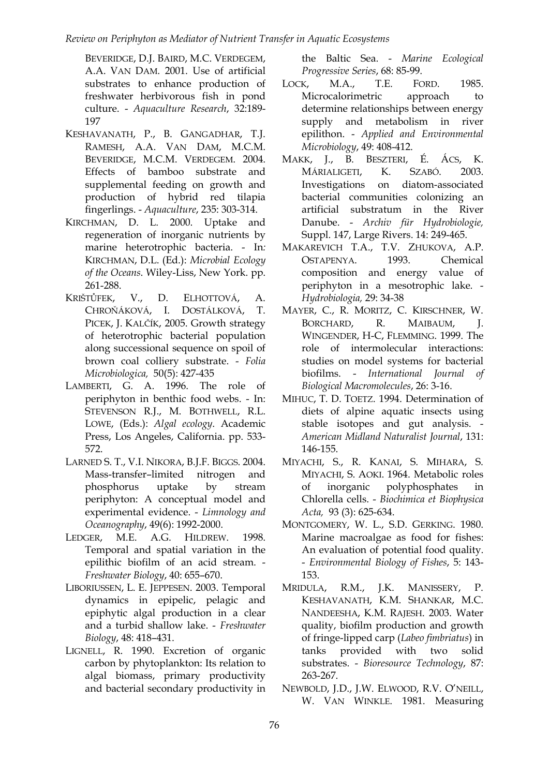BEVERIDGE, D.J. BAIRD, M.C. VERDEGEM, A.A. VAN DAM. 2001. Use of artificial substrates to enhance production of freshwater herbivorous fish in pond culture. - *Aquaculture Research*, 32:189- 197

- KESHAVANATH, P., B. GANGADHAR, T.J. RAMESH, A.A. VAN DAM, M.C.M. BEVERIDGE, M.C.M. VERDEGEM. 2004. Effects of bamboo substrate and supplemental feeding on growth and production of hybrid red tilapia fingerlings. - *Aquaculture*, 235: 303-314.
- KIRCHMAN, D. L. 2000. Uptake and regeneration of inorganic nutrients by marine heterotrophic bacteria. - In*:* KIRCHMAN, D.L. (Ed.): *Microbial Ecology of the Oceans*. Wiley-Liss, New York. pp. 261-288.
- K[RIŠTŮFEK](http://www.springerlink.com/content/?Author=V.+Kri%c5%a1t%c5%affek), V., D. [ELHOTTOVÁ,](http://www.springerlink.com/content/?Author=D.+Elhottov%c3%a1) A. C[HROŇÁKOVÁ](http://www.springerlink.com/content/?Author=A.+Chro%c5%88%c3%a1kov%c3%a1), I. [DOSTÁLKOVÁ,](http://www.springerlink.com/content/?Author=I.+Dost%c3%a1lkov%c3%a1) T. [PICEK,](http://www.springerlink.com/content/?Author=T.+Picek) J. K[ALČÍK](http://www.springerlink.com/content/?Author=J.+Kal%c4%8d%c3%adk), 2005. Growth strategy of heterotrophic bacterial population along successional sequence on spoil of brown coal colliery substrate. - *[Folia](http://www.springerlink.com/content/0015-5632/)  [Microbiologica,](http://www.springerlink.com/content/0015-5632/)* 50(5): 427-435
- LAMBERTI, G. A. 1996. The role of periphyton in benthic food webs. - In: STEVENSON R.J., M. BOTHWELL, R.L. LOWE, (Eds.): *Algal ecology*. Academic Press, Los Angeles, California. pp. 533- 572.
- LARNED S. T., V.I. NIKORA, B.J.F. BIGGS. 2004. Mass-transfer–limited nitrogen and phosphorus uptake by stream periphyton: A conceptual model and experimental evidence. - *Limnology and Oceanography*, 49(6): 1992-2000.
- LEDGER, M.E. A.G. HILDREW. 1998. Temporal and spatial variation in the epilithic biofilm of an acid stream. - *Freshwater Biology*, 40: 655–670.
- LIBORIUSSEN, L. E. JEPPESEN. 2003. Temporal dynamics in epipelic, pelagic and epiphytic algal production in a clear and a turbid shallow lake. - *Freshwater Biology*, 48: 418–431.
- LIGNELL, R. 1990. Excretion of organic carbon by phytoplankton: Its relation to algal biomass, primary productivity and bacterial secondary productivity in

the Baltic Sea. - *Marine Ecological Progressive Series*, 68: 85-99.

- LOCK, M.A., T.E. FORD. 1985. Microcalorimetric approach to determine relationships between energy supply and metabolism in river epilithon. - *Applied and Environmental Microbiology*, 49: 408-412.
- MAKK, J., B. BESZTERI, É. ÁCS, K. MÁRIALIGETI, K. SZABÓ. 2003. Investigations on diatom-associated bacterial communities colonizing an artificial substratum in the River Danube. - *Archiv für Hydrobiologie,* Suppl. 147, Large Rivers. 14: 249-465.
- MAKAREVICH T.A., T.V. ZHUKOVA, A.P. OSTAPENYA. 1993. Chemical composition and energy value of periphyton in a mesotrophic lake. - *Hydrobiologia,* 29: 34-38
- MAYER, C., R. MORITZ, C. KIRSCHNER, W. BORCHARD, R. MAIBAUM, J. WINGENDER, H-C, FLEMMING. 1999. The role of intermolecular interactions: studies on model systems for bacterial biofilms. - *International Journal of Biological Macromolecules*, 26: 3-16.
- MIHUC, T. D. TOETZ. 1994. Determination of diets of alpine aquatic insects using stable isotopes and gut analysis. - *American Midland Naturalist Journal*, 131: 146-155.
- MIYACHI, S., R. KANAI, S. MIHARA, S. MIYACHI, S. AOKI. 1964. Metabolic roles of inorganic polyphosphates in Chlorella cells. - *Biochimica et Biophysica Acta,* 93 (3): 625-634.
- MONTGOMERY, W. L., S.D. GERKING. 1980. Marine macroalgae as food for fishes: An evaluation of potential food quality. - *Environmental Biology of Fishes*, 5: 143- 153.
- MRIDULA, R.M., J.K. MANISSERY, P. KESHAVANATH, K.M. SHANKAR, M.C. NANDEESHA, K.M. RAJESH. 2003. Water quality, biofilm production and growth of fringe-lipped carp (*Labeo fimbriatus*) in tanks provided with two solid substrates. - *Bioresource Technology*, 87: 263-267.
- NEWBOLD, J.D., J.W. ELWOOD, R.V. O'NEILL, W. VAN WINKLE. 1981. Measuring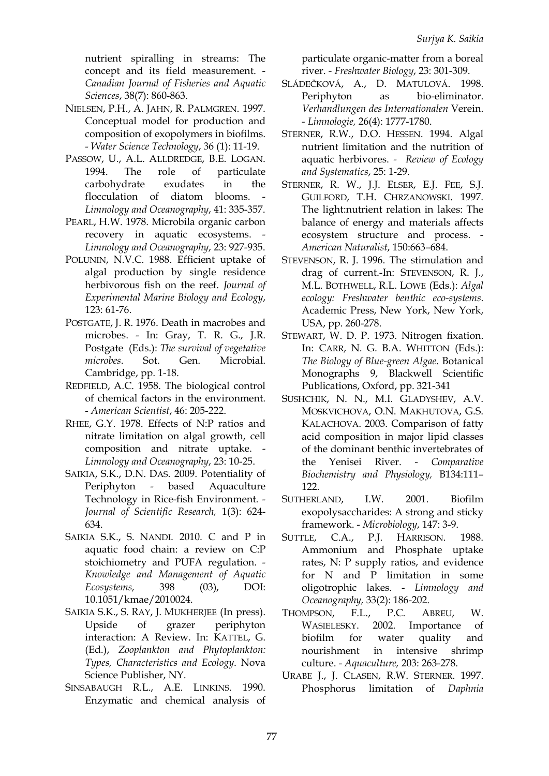nutrient spiralling in streams: The concept and its field measurement. - *Canadian Journal of Fisheries and Aquatic Sciences*, 38(7): 860-863.

- NIELSEN, P.H., A. JAHN, R. PALMGREN. 1997. Conceptual model for production and composition of exopolymers in biofilms. - *Water Science Technology*, 36 (1): 11-19.
- PASSOW, U., A.L. ALLDREDGE, B.E. LOGAN. 1994. The role of particulate carbohydrate exudates in the flocculation of diatom blooms. *Limnology and Oceanography*, 41: 335-357.
- PEARL, H.W. 1978. Microbila organic carbon recovery in aquatic ecosystems. - *Limnology and Oceanography*, 23: 927-935.
- POLUNIN, N.V.C. 1988. Efficient uptake of algal production by single residence herbivorous fish on the reef. *Journal of Experimental Marine Biology and Ecology*, 123: 61-76.
- POSTGATE, J. R. 1976. Death in macrobes and microbes. - In: Gray, T. R. G., J.R. Postgate (Eds.): *The survival of vegetative microbes*. Sot. Gen. Microbial. Cambridge, pp. 1-18.
- REDFIELD, A.C. 1958. The biological control of chemical factors in the environment. - *American Scientist*, 46: 205-222.
- RHEE, G.Y. 1978. Effects of N:P ratios and nitrate limitation on algal growth, cell composition and nitrate uptake. - *Limnology and Oceanography*, 23: 10-25.
- SAIKIA, S.K., D.N. DAS. 2009. Potentiality of Periphyton - based Aquaculture Technology in Rice-fish Environment. - *Journal of Scientific Research,* 1(3): 624- 634.
- SAIKIA S.K., S. NANDI. 2010. C and P in aquatic food chain: a review on C:P stoichiometry and PUFA regulation. - *Knowledge and Management of Aquatic Ecosystems,* 398 (03), DOI: 10.1051/kmae/2010024.
- SAIKIA S.K., S. RAY, J. MUKHERJEE (In press). Upside of grazer periphyton interaction: A Review. In: KATTEL, G. (Ed.), *Zooplankton and Phytoplankton: Types, Characteristics and Ecology*. Nova Science Publisher, NY.
- SINSABAUGH R.L., A.E. LINKINS. 1990. Enzymatic and chemical analysis of

particulate organic-matter from a boreal river. *- Freshwater Biology*, 23: 301-309.

- SLÁDEČKOVÁ, A., D. MATULOVÁ. 1998. Periphyton as bio-eliminator. *[Verhandlungen des Internationalen](http://www.speciation.net/Database/Journals/Verhandlungen-des-Internationalen-Verein-Limnologie-;i2275)* Verein. *- [Limnologie,](http://www.speciation.net/Database/Journals/Verhandlungen-des-Internationalen-Verein-Limnologie-;i2275)* 26(4): 1777-1780.
- STERNER, R.W., D.O. HESSEN. 1994. Algal nutrient limitation and the nutrition of aquatic herbivores. *- Review of Ecology and Systematics*, 25: 1-29.
- STERNER, R. W., J.J. ELSER, E.J. FEE, S.J. GUILFORD, T.H. CHRZANOWSKI. 1997. The light:nutrient relation in lakes: The balance of energy and materials affects ecosystem structure and process. - *American Naturalist*, 150:663–684.
- STEVENSON, R. J. 1996. The stimulation and drag of current.-In: STEVENSON, R. J., M.L. BOTHWELL, R.L. LOWE (Eds.): *Algal ecology: Freshwater benthic eco-systems*. Academic Press, New York, New York, USA, pp. 260-278.
- STEWART, W. D. P. 1973. Nitrogen fixation. In: CARR, N. G. B.A. WHITTON (Eds.): *The Biology of Blue-green Algae.* Botanical Monographs 9, Blackwell Scientific Publications, Oxford, pp. 321-341
- SUSHCHIK, N. N., M.I. GLADYSHEV, A.V. MOSKVICHOVA, O.N. MAKHUTOVA, G.S. KALACHOVA. 2003. Comparison of fatty acid composition in major lipid classes of the dominant benthic invertebrates of the Yenisei River. - *Comparative Biochemistry and Physiology,* B134:111– 122.
- SUTHERLAND, I.W. 2001. Biofilm exopolysaccharides: A strong and sticky framework. - *Microbiology*, 147: 3-9.
- SUTTLE, C.A., P.J. HARRISON. 1988. Ammonium and Phosphate uptake rates, N: P supply ratios, and evidence for N and P limitation in some oligotrophic lakes. - *Limnology and Oceanography,* 33(2): 186-202.
- THOMPSON, F.L., P.C. ABREU, W. WASIELESKY. 2002. Importance of biofilm for water quality and nourishment in intensive shrimp culture. - *Aquaculture,* 203: 263-278.
- URABE J., J. CLASEN, R.W. STERNER. 1997. Phosphorus limitation of *Daphnia*